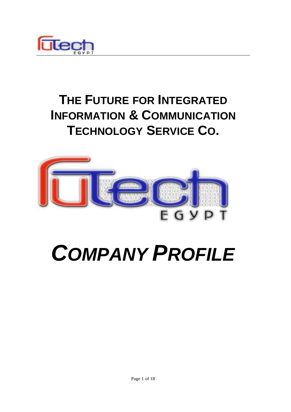

# **THE FUTURE FOR INTEGRATED INFORMATION & COMMUNICATION TECHNOLOGY SERVICE CO.**



# *COMPANY PROFILE*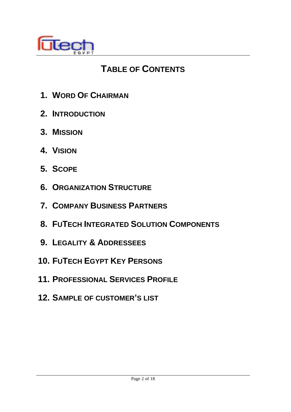

# **TABLE OF CONTENTS**

- **1. WORD OF CHAIRMAN**
- **2. INTRODUCTION**
- **3. MISSION**
- **4. VISION**
- **5. SCOPE**
- **6. ORGANIZATION STRUCTURE**
- **7. COMPANY BUSINESS PARTNERS**
- **8. FUTECH INTEGRATED SOLUTION COMPONENTS**
- **9. LEGALITY & ADDRESSEES**
- **10. FUTECH EGYPT KEY PERSONS**
- **11. PROFESSIONAL SERVICES PROFILE**
- **12. SAMPLE OF CUSTOMER'S LIST**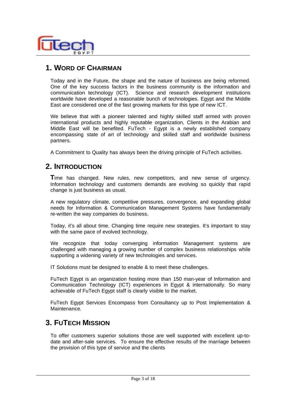

# **1. WORD OF CHAIRMAN**

Today and in the Future, the shape and the nature of business are being reformed. One of the key success factors in the business community is the information and communication technology (ICT). Science and research development institutions worldwide have developed a reasonable bunch of technologies. Egypt and the Middle East are considered one of the fast growing markets for this type of new ICT.

We believe that with a pioneer talented and highly skilled staff armed with proven international products and highly reputable organization, Clients in the Arabian and Middle East will be benefited. FuTech - Egypt is a newly established company encompassing state of art of technology and skilled staff and worldwide business partners.

A Commitment to Quality has always been the driving principle of FuTech activities.

#### **2. INTRODUCTION**

**T**ime has changed. New rules, new competitors, and new sense of urgency. Information technology and customers demands are evolving so quickly that rapid change is just business as usual.

A new regulatory climate, competitive pressures, convergence, and expanding global needs for Information & Communication Management Systems have fundamentally re-written the way companies do business.

Today, it's all about time. Changing time require new strategies. It's important to stay with the same pace of evolved technology.

We recognize that today converging information Management systems are challenged with managing a growing number of complex business relationships while supporting a widening variety of new technologies and services.

IT Solutions must be designed to enable & to meet these challenges.

FuTech Egypt is an organization hosting more than 150 man-year of Information and Communication Technology (ICT) experiences in Egypt & internationally. So many achievable of FuTech Egypt staff is clearly visible to the market.

FuTech Egypt Services Encompass from Consultancy up to Post Implementation & Maintenance.

# **3. FUTECH MISSION**

To offer customers superior solutions those are well supported with excellent up-todate and after-sale services. To ensure the effective results of the marriage between the provision of this type of service and the clients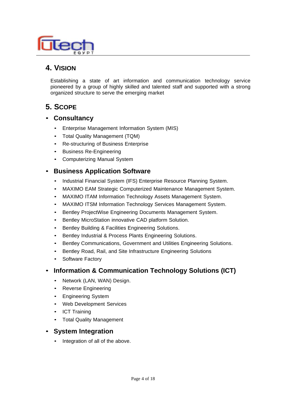

# **4. VISION**

Establishing a state of art information and communication technology service pioneered by a group of highly skilled and talented staff and supported with a strong organized structure to serve the emerging market

# **5. SCOPE**

- **Consultancy**
	- Enterprise Management Information System (MIS)
	- Total Quality Management (TQM)
	- Re-structuring of Business Enterprise
	- Business Re-Engineering
	- Computerizing Manual System

#### • **Business Application Software**

- Industrial Financial System (IFS) Enterprise Resource Planning System.
- MAXIMO EAM Strategic Computerized Maintenance Management System.
- MAXIMO ITAM Information Technology Assets Management System.
- MAXIMO ITSM Information Technology Services Management System.
- Bentley ProjectWise Engineering Documents Management System.
- Bentley MicroStation innovative CAD platform Solution.
- Bentley Building & Facilities Engineering Solutions.
- Bentley Industrial & Process Plants Engineering Solutions.
- Bentley Communications, Government and Utilities Engineering Solutions.
- Bentley Road, Rail, and Site Infrastructure Engineering Solutions
- Software Factory

#### • **Information & Communication Technology Solutions (ICT)**

- Network (LAN, WAN) Design.
- Reverse Engineering
- Engineering System
- Web Development Services
- ICT Training
- Total Quality Management

#### • **System Integration**

• Integration of all of the above.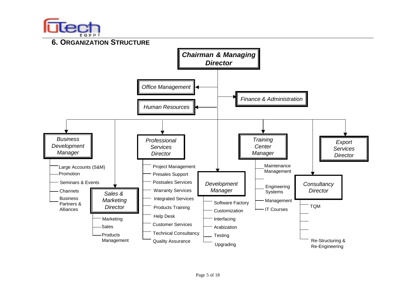

Management



Re-Structuring & Re-Engineering

Upgrading

Quality Assurance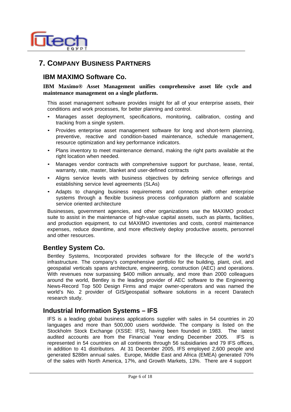

# **7. COMPANY BUSINESS PARTNERS**

#### **IBM MAXIMO Software Co.**

#### **IBM Maximo® Asset Management unifies comprehensive asset life cycle and maintenance management on a single platform.**

This asset management software provides insight for all of your enterprise assets, their conditions and work processes, for better planning and control.

- Manages asset deployment, specifications, monitoring, calibration, costing and tracking from a single system.
- Provides enterprise asset management software for long and short-term planning, preventive, reactive and condition-based maintenance, schedule management, resource optimization and key performance indicators.
- Plans inventory to meet maintenance demand, making the right parts available at the right location when needed.
- Manages vendor contracts with comprehensive support for purchase, lease, rental, warranty, rate, master, blanket and user-defined contracts
- Aligns service levels with business objectives by defining service offerings and establishing service level agreements (SLAs)
- Adapts to changing business requirements and connects with other enterprise systems through a flexible business process configuration platform and scalable service oriented architecture

Businesses, government agencies, and other organizations use the MAXIMO product suite to assist in the maintenance of high-value capital assets, such as plants, facilities, and production equipment, to cut MAXIMO inventories and costs, control maintenance expenses, reduce downtime, and more effectively deploy productive assets, personnel and other resources.

#### **Bentley System Co.**

Bentley Systems, Incorporated provides software for the lifecycle of the world's infrastructure. The company's comprehensive portfolio for the building, plant, civil, and geospatial verticals spans architecture, engineering, construction (AEC) and operations. With revenues now surpassing \$400 million annually, and more than 2000 colleagues around the world, Bentley is the leading provider of AEC software to the Engineering News-Record Top 500 Design Firms and major owner-operators and was named the world's No. 2 provider of GIS/geospatial software solutions in a recent Daratech research study.

#### **Industrial Information Systems – IFS**

IFS is a leading global business applications supplier with sales in 54 countries in 20 languages and more than 500,000 users worldwide. The company is listed on the Stockholm Stock Exchange (XSSE: IFS), having been founded in 1983. The latest audited accounts are from the Financial Year ending December 2005. IFS is represented in 54 countries on all continents through 56 subsidiaries and 79 IFS offices, in addition to 41 distributors. At 31 December 2005, IFS employed 2,600 people and generated \$288m annual sales. Europe, Middle East and Africa (EMEA) generated 70% of the sales with North America, 17%, and Growth Markets, 13%. There are 4 support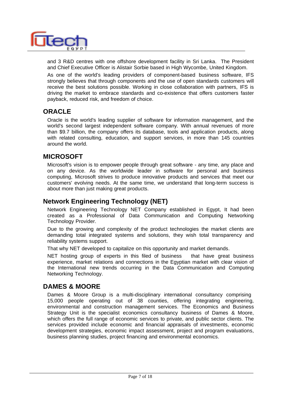

and 3 R&D centres with one offshore development facility in Sri Lanka. The President and Chief Executive Officer is Alistair Sorbie based in High Wycombe, United Kingdom.

As one of the world's leading providers of component-based business software, IFS strongly believes that through components and the use of open standards customers will receive the best solutions possible. Working in close collaboration with partners, IFS is driving the market to embrace standards and co-existence that offers customers faster payback, reduced risk, and freedom of choice.

#### **ORACLE**

Oracle is the world's leading supplier of software for information management, and the world's second largest independent software company. With annual revenues of more than \$9.7 billion, the company offers its database, tools and application products, along with related consulting, education, and support services, in more than 145 countries around the world.

#### **MICROSOFT**

Microsoft's vision is to empower people through great software - any time, any place and on any device. As the worldwide leader in software for personal and business computing, Microsoft strives to produce innovative products and services that meet our customers' evolving needs. At the same time, we understand that long-term success is about more than just making great products.

#### **Network Engineering Technology (NET)**

Network Engineering Technology NET Company established in Egypt, It had been created as a Professional of Data Communication and Computing Networking Technology Provider.

Due to the growing and complexity of the product technologies the market clients are demanding total integrated systems and solutions, they wish total transparency and reliability systems support.

That why NET developed to capitalize on this opportunity and market demands.

NET hosting group of experts in this filed of business that have great business experience, market relations and connections in the Egyptian market with clear vision of the International new trends occurring in the Data Communication and Computing Networking Technology.

# **DAMES & MOORE**

Dames & Moore Group is a multi-disciplinary international consultancy comprising 15,000 people operating out of 38 counties, offering integrating engineering, environmental and construction management services. The Economics and Business Strategy Unit is the specialist economics consultancy business of Dames & Moore, which offers the full range of economic services to private, and public sector clients. The services provided include economic and financial appraisals of investments, economic development strategies, economic impact assessment, project and program evaluations, business planning studies, project financing and environmental economics.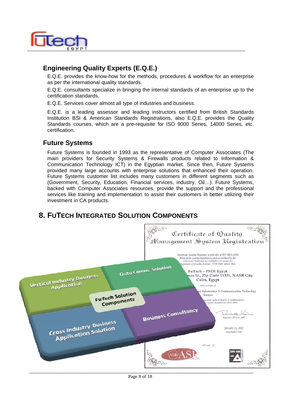

# **Engineering Quality Experts (E.Q.E.)**

E.Q.E. provides the know-how for the methods, procedures & workflow for an enterprise as per the international quality standards.

E.Q.E. consultants specialize in bringing the internal standards of an enterprise up to the certification standards.

E.Q.E. Services cover almost all type of industries and business.

E.Q.E. is a leading assessor and leading instructors certified from British Standards Institution BSI & American Standards Registrations, also E.Q.E. provides the Quality Standards courses, which are a pre-requisite for ISO 9000 Series, 14000 Series, etc. certification.

#### **Future Systems**

Future Systems is founded in 1993 as the representative of Computer Associates (The main providers for Security Systems & Firewalls products related to Information & Communication Technology ICT) in the Egyptian market. Since then, Future Systems provided many large accounts with enterprise solutions that enhanced their operation. Future Systems customer list includes many customers in different segments such as (Government, Security, Education, Financial services, industry, Oil…). Future Systems, backed with Computer Associates resources, provide the support and the professional services like training and implementation to assist their customers in better utilizing their investment in CA products.

# **8. FUTECH INTEGRATED SOLUTION COMPONENTS**

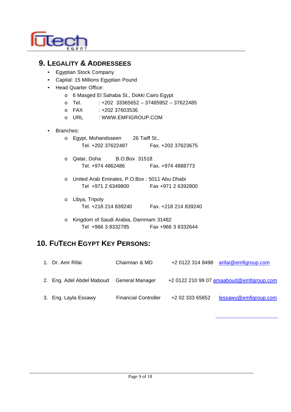

# **9. LEGALITY & ADDRESSEES**

- Egyptian Stock Company
- Capital: 15 Millions Egyptian Pound
- Head Quarter Office:
	- o 6 Masged El Sahaba St., Dokki Cairo Egypt
	- o Tel.  $: +202$  33365652 37485952 37622485
	- o FAX: +202 37603536
	- o URL : WWW.EMFIGROUP.COM

#### • Branches:

- o Egypt, Mohandsseen 26 Taiff St., Tel. +202 37622487 Fax. +202 37623675
- o Qatar, Doha B.O.Box 31518 Tel. +974 4862486 Fax. +974 4888773
- o United Arab Emirates, P.O.Box : 5011 Abu Dhabi Tel +971 2 6349800 Fax +971 2 6392800
- o Libya, Tripoly Tel. +218 214 839240 Fax. +218 214 839240
- o Kingdom of Saudi Arabia, Dammam 31482 Tel +966 3 8332785 Fax +966 3 8332644

# **10. FUTECH EGYPT KEY PERSONS:**

| 1. Dr. Amr Rifai                          | Chairman & MD               |                 | +2 0122 314 8498 arifai@emfigroup.com    |
|-------------------------------------------|-----------------------------|-----------------|------------------------------------------|
| 2. Eng. Adel Abdel Maboud General Manager |                             |                 | +2 0122 210 99 07 amaaboud@emfigroup.com |
| 3. Eng. Layla Essawy                      | <b>Financial Controller</b> | +2 02 333 65652 | lessawy@emfigroup.com                    |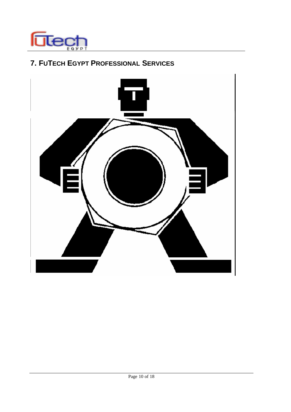

# **7. FUTECH EGYPT PROFESSIONAL SERVICES**

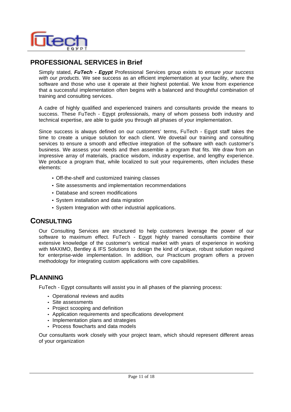

#### **PROFESSIONAL SERVICES in Brief**

Simply stated, *FuTech - Egypt* Professional Services group exists to *ensure your success with our products*. We see success as an efficient implementation at your facility, where the software and those who use it operate at their highest potential. We know from experience that a successful implementation often begins with a balanced and thoughtful combination of training and consulting services.

A cadre of highly qualified and experienced trainers and consultants provide the means to success. These FuTech - Egypt professionals, many of whom possess both industry and technical expertise, are able to guide you through all phases of your implementation.

Since success is always defined on our customers' terms, FuTech - Egypt staff takes the time to create a unique solution for each client. We dovetail our training and consulting services to ensure a smooth and effective integration of the software with each customer's business. We assess your needs and then assemble a program that fits. We draw from an impressive array of materials, practice wisdom, industry expertise, and lengthy experience. We produce a program that, while localized to suit your requirements, often includes these elements:

- Off-the-shelf and customized training classes
- Site assessments and implementation recommendations
- Database and screen modifications
- System installation and data migration
- System Integration with other industrial applications.

#### **CONSULTING**

Our Consulting Services are structured to help customers leverage the power of our software to maximum effect. FuTech - Egypt highly trained consultants combine their extensive knowledge of the customer's vertical market with years of experience in working with MAXIMO, Bentley & IFS Solutions to design the kind of unique, robust solution required for enterprise-wide implementation. In addition, our Practicum program offers a proven methodology for integrating custom applications with core capabilities.

# **PLANNING**

FuTech - Egypt consultants will assist you in all phases of the planning process:

- Operational reviews and audits
- Site assessments
- Project scooping and definition
- Application requirements and specifications development
- Implementation plans and strategies
- Process flowcharts and data models

Our consultants work closely with your project team, which should represent different areas of your organization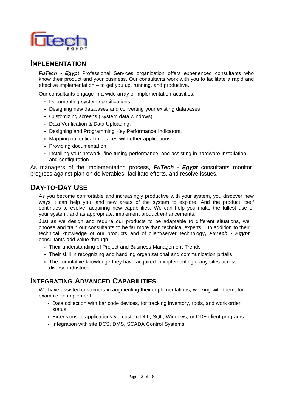

#### **IMPLEMENTATION**

*FuTech - Egypt* Professional Services organization offers experienced consultants who know their product and your business. Our consultants work with you to facilitate a rapid and effective implementation – to get you up, running, and productive.

Our consultants engage in a wide array of implementation activities:

- Documenting system specifications
- Designing new databases and converting your existing databases
- Customizing screens (System data windows)
- Data Verification & Data Uploading.
- Designing and Programming Key Performance Indicators.
- Mapping out critical interfaces with other applications
- Providing documentation.
- Installing your network, fine-tuning performance, and assisting in hardware installation and configuration

As managers of the implementation process, *FuTech - Egypt* consultants monitor progress against plan on deliverables, facilitate efforts, and resolve issues.

# **DAY-TO-DAY USE**

As you become comfortable and increasingly productive with your system, you discover new ways it can help you, and new areas of the system to explore. And the product itself continues to evolve, acquiring new capabilities. We can help you make the fullest use of your system, and as appropriate, implement product enhancements.

Just as we design and require our products to be adaptable to different situations, we choose and train our consultants to be far more than technical experts. In addition to their technical knowledge of our products and of client/server technology**,** *FuTech - Egypt*  consultants add value through

- Their understanding of Project and Business Management Trends
- Their skill in recognizing and handling organizational and communication pitfalls
- The cumulative knowledge they have acquired in implementing many sites across diverse industries

#### **INTEGRATING ADVANCED CAPABILITIES**

We have assisted customers in augmenting their implementations, working with them, for example, to implement

- Data collection with bar code devices, for tracking inventory, tools, and work order status
- Extensions to applications via custom DLL, SQL, Windows, or DDE client programs
- Integration with site DCS, DMS, SCADA Control Systems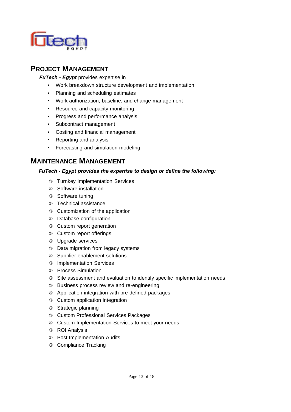

# **PROJECT MANAGEMENT**

#### *FuTech - Egypt* provides expertise in

- Work breakdown structure development and implementation
- Planning and scheduling estimates
- Work authorization, baseline, and change management
- Resource and capacity monitoring
- Progress and performance analysis
- Subcontract management
- Costing and financial management
- Reporting and analysis
- Forecasting and simulation modeling

#### **MAINTENANCE MANAGEMENT**

#### *FuTech - Egypt provides the expertise to design or define the following:*

- **3** Turnkey Implementation Services
- 3 Software installation
- **3** Software tuning
- **3** Technical assistance
- e Customization of the application
- <sup>3</sup> Database configuration
- **3** Custom report generation
- **3** Custom report offerings
- **3** Upgrade services
- **3** Data migration from legacy systems
- **3** Supplier enablement solutions
- **3** Implementation Services
- <sup>3</sup> Process Simulation
- **3** Site assessment and evaluation to identify specific implementation needs
- <sup>3</sup> Business process review and re-engineering
- e Application integration with pre-defined packages
- **3** Custom application integration
- **3** Strategic planning
- e Custom Professional Services Packages
- <sup>3</sup> Custom Implementation Services to meet your needs
- **3** ROI Analysis
- <sup>3</sup> Post Implementation Audits
- <sup>3</sup> Compliance Tracking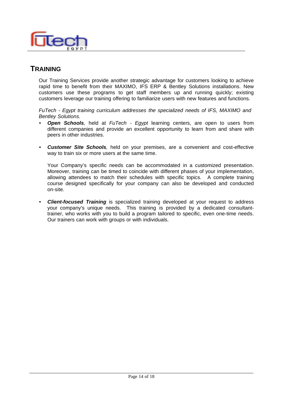

# **TRAINING**

Our Training Services provide another strategic advantage for customers looking to achieve rapid time to benefit from their MAXIMO, IFS ERP & Bentley Solutions installations. New customers use these programs to get staff members up and running quickly; existing customers leverage our training offering to familiarize users with new features and functions.

*FuTech - Egypt training curriculum addresses the specialized needs of IFS, MAXIMO and Bentley Solutions.*

- *Open Schools,* held at *FuTech Egypt* learning centers, are open to users from different companies and provide an excellent opportunity to learn from and share with peers in other industries.
- *Customer Site Schools,* held on your premises, are a convenient and cost-effective way to train six or more users at the same time.

Your Company's specific needs can be accommodated in a customized presentation. Moreover, training can be timed to coincide with different phases of your implementation, allowing attendees to match their schedules with specific topics. A complete training course designed specifically for your company can also be developed and conducted on-site.

• *Client-focused Training* is specialized training developed at your request to address your company's unique needs. This training is provided by a dedicated consultanttrainer, who works with you to build a program tailored to specific, even one-time needs. Our trainers can work with groups or with individuals.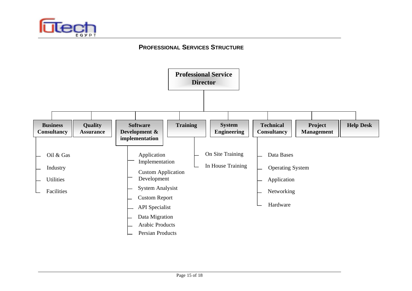

#### **PROFESSIONAL SERVICES STRUCTURE**

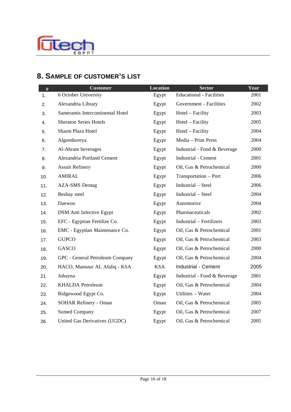

# **8. SAMPLE OF CUSTOMER'S LIST**

| $\#$ | <b>Customer</b>                  | <b>Location</b> | <b>Sector</b>                   | Year |
|------|----------------------------------|-----------------|---------------------------------|------|
| 1.   | 6 October University             | Egypt           | <b>Educational - Facilities</b> | 2001 |
| 2.   | Alexandria Library               | Egypt           | Government - Facilities         | 2002 |
| 3.   | Sameramis Intercontinental Hotel | Egypt           | Hotel – Facility                | 2003 |
| 4.   | <b>Sheraton Series Hotels</b>    | Egypt           | Hotel - Facility                | 2005 |
| 5.   | Sharm Plaza Hotel                | Egypt           | Hotel – Facility                | 2004 |
| 6.   | Algomhoreya                      | Egypt           | Media - Print Press             | 2004 |
| 7.   | Al-Ahram beverages               | Egypt           | Industrial - Food & Beverage    | 2000 |
| 8.   | Alexandria Portland Cement       | Egypt           | <b>Industrial - Cement</b>      | 2001 |
| 9.   | <b>Assuit Refinery</b>           | Egypt           | Oil, Gas & Petrochemical        | 2000 |
| 10.  | <b>AMIRAL</b>                    | Egypt           | Transportation - Port           | 2006 |
| 11.  | <b>AZA-SMS</b> Demag             | Egypt           | Industrial - Steel              | 2006 |
| 12.  | Beshay steel                     | Egypt           | Industrial - Steel              | 2004 |
| 13.  | Daewoo                           | Egypt           | Automotive                      | 2004 |
| 14.  | <b>DSM</b> Anti Infective Egypt  | Egypt           | Pharmaceuticals                 | 2002 |
| 15.  | EFC - Egyptian Fertilize Co.     | Egypt           | Industrial - Fertilizers        | 2003 |
| 16.  | EMC - Egyptian Maintenance Co.   | Egypt           | Oil, Gas & Petrochemical        | 2001 |
| 17.  | <b>GUPCO</b>                     | Egypt           | Oil, Gas & Petrochemical        | 2003 |
| 18.  | GASCO                            | Egypt           | Oil, Gas & Petrochemical        | 2000 |
| 19.  | GPC - General Petroleum Company  | Egypt           | Oil, Gas & Petrochemical        | 2004 |
| 20.  | HACO, Mansour AL Afaliq - KSA    | <b>KSA</b>      | Industrial - Cement             | 2005 |
| 21.  | Juhayna                          | Egypt           | Industrial - Food & Beverage    | 2001 |
| 22.  | <b>KHALDA</b> Petroleum          | Egypt           | Oil, Gas & Petrochemical        | 2004 |
| 23.  | Ridgewood Egypt Co.              | Egypt           | Utilities - Water               | 2004 |
| 24.  | <b>SOHAR Refinery - Oman</b>     | Oman            | Oil, Gas & Petrochemical        | 2005 |
| 25.  | <b>Sumed Company</b>             | Egypt           | Oil, Gas & Petrochemical        | 2007 |
| 26.  | United Gas Derivatives (UGDC)    | Egypt           | Oil, Gas & Petrochemical        | 2005 |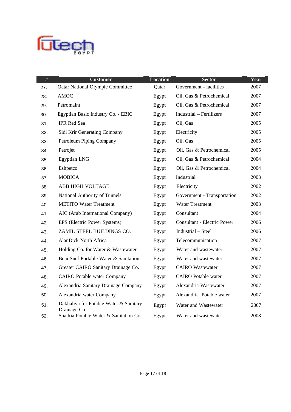

| #   | <b>Customer</b>                                        | <b>Location</b> | <b>Sector</b>                      | Year |
|-----|--------------------------------------------------------|-----------------|------------------------------------|------|
| 27. | <b>Qatar National Olympic Committee</b>                | Qatar           | Government - facilities            | 2007 |
| 28. | <b>AMOC</b>                                            | Egypt           | Oil, Gas & Petrochemical           | 2007 |
| 29. | Petromaint                                             | Egypt           | Oil, Gas & Petrochemical           | 2007 |
| 30. | Egyptian Basic Industry Co. - EBIC                     | Egypt           | <b>Industrial</b> – Fertilizers    | 2007 |
| 31. | <b>IPR</b> Red Sea                                     | Egypt           | Oil, Gas                           | 2005 |
| 32. | Sidi Krir Generating Company                           | Egypt           | Electricity                        | 2005 |
| 33. | Petroleum Piping Company                               | Egypt           | Oil, Gas                           | 2005 |
| 34. | Petrojet                                               | Egypt           | Oil, Gas & Petrochemical           | 2005 |
| 35. | <b>Egyptian LNG</b>                                    | Egypt           | Oil, Gas & Petrochemical           | 2004 |
| 36. | Eshpetco                                               | Egypt           | Oil, Gas & Petrochemical           | 2004 |
| 37. | <b>MOBICA</b>                                          | Egypt           | Industrial                         | 2003 |
| 38. | ABB HIGH VOLTAGE                                       | Egypt           | Electricity                        | 2002 |
| 39. | National Authority of Tunnels                          | Egypt           | Government - Transportation        | 2002 |
| 40. | <b>METITO Water Treatment</b>                          | Egypt           | <b>Water Treatment</b>             | 2003 |
| 41. | AIC (Arab International Company)                       | Egypt           | Consultant                         | 2004 |
| 42. | EPS (Electric Power Systems)                           | Egypt           | <b>Consultant - Electric Power</b> | 2006 |
| 43. | ZAMIL STEEL BUILDINGS CO.                              | Egypt           | Industrial - Steel                 | 2006 |
| 44. | <b>AlanDick North Africa</b>                           | Egypt           | Telecommunication                  | 2007 |
| 45. | Holding Co. for Water & Wastewater                     | Egypt           | Water and wastewater               | 2007 |
| 46. | Beni Suef Portable Water & Sanitation                  | Egypt           | Water and wastewater               | 2007 |
| 47. | Greater CAIRO Sanitary Drainage Co.                    | Egypt           | <b>CAIRO</b> Wastewater            | 2007 |
| 48. | <b>CAIRO</b> Potable water Company                     | Egypt           | <b>CAIRO</b> Potable water         | 2007 |
| 49. | Alexandria Sanitary Drainage Company                   | Egypt           | Alexandria Wastewater              | 2007 |
| 50. | Alexandria water Company                               | Egypt           | Alexandria Potable water           | 2007 |
| 51. | Dakhaliya for Potable Water & Sanitary<br>Drainage Co. | Egypt           | Water and Wastewater               | 2007 |
| 52. | Sharkia Potable Water & Sanitation Co.                 | Egypt           | Water and wastewater               | 2008 |